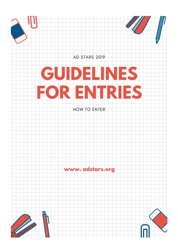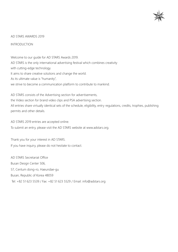

#### AD STARS AWARDS 2019

INTRODUCTION

Welcome to our guide for AD STARS Awards 2019. AD STARS is the only international advertising festival which combines creativity with cutting-edge technology. It aims to share creative solutions and change the world. As its ultimate value is "humanity", we strive to become a communication platform to contribute to mankind.

AD STARS consists of the Advertising section for advertisements, the Video section for brand video clips and PSA advertising section. All entries share virtually identical sets of the schedule, eligibility, entry regulations, credits, trophies, publishing permits and other details.

AD STARS 2019 entries are accepted online.

To submit an entry, please visit the AD STARS website at www.adstars.org.

Thank you for your interest in AD STARS.

If you have inquiry, please do not hesitate to contact.

AD STARS Secretariat Office Busan Design Center 506, 57, Centum dong-ro, Haeundae-gu Busan, Republic of Korea 48059 Tel: +82 51 623 5539 / Fax: +82 51 623 5529 / Email: [info@adstars.org](mailto:info@adstars.org)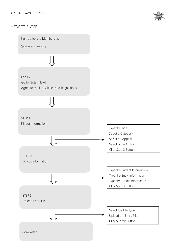# HOW TO ENTER



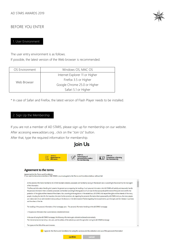

# BEFORE YOU ENTER

#### 1. User Environment

The user entry environment is as follows.

If possible, the latest version of the Web browser is recommended.

| OS Environment | Windows OS, MAC OS             |  |  |
|----------------|--------------------------------|--|--|
|                | Internet Explorer 11 or Higher |  |  |
| Web Browser    | Firefox 3.5 or Higher          |  |  |
|                | Google Chrome 25.0 or Higher   |  |  |
|                | Safari 5.1 or Higher           |  |  |

\* In case of Safari and Firefox, the latest version of Flash Player needs to be installed.

#### 2. Sign Up the Membership

If you are not a member of AD STARS, please sign up for membership on our website.

After accessing [www.adstars.org](http://www.adstars.org/) , click on the "Join Us" button.

After that, type the required information for membership.

#### **loin Us** STEP 03 STEP 01 STEP 03<br>Completion of joining Agreement to<br>the terms 【引 Agreement to the terms Agreement to the Terms and Conditions.<br>If you want to become a member of AD STARS, you must agree to the Terms and Conditions below, without fail. All the personal information handled by AD STARS has been collected, possessed, and handled by basing on the relevant laws or according to the consent by the main agent of the information The Personal Information Handling Act' presents the general canons regarding the handling of such personal information. And AD STARS will lawfully and reasonably handle the personal information that is collected, possessed, and handled according to the regulations of such laws for the appropriate performance of the public work and for the protection of the rights and the interests of the citizens. Also, according to the regulations in the related laws, AD STARS shall respect the rights and the interests of the many people, including the claim for the inspection, the claim for the correction, etc. regarding the personal information that is possessed by AD STARS. And you, the many people can make a claim for an administrative trial according to the decisions in the Administrative Trial Act regarding the encroachments upon the rights and the interests in such laws and the others of the like The handling of the personal information of the homepage users - The personal information handling on the AD STARS homepage. 1. The personal information that is automatically collected and stored. In the case of using the AD STARS homepage, the following information gets collected and stored automatically. The Internet server domain of you, the users, and the address of the website you went through when visiting the AD STARS homepage The types and the OS's of the users' browsers. I agree to 'the Terms and Conditions for using the services and the collection and use of the personal information'

confirm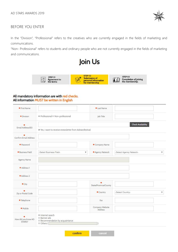

# BEFORE YOU ENTER

In the "Division", "Professional" refers to the creatives who are currently engaged in the fields of marketing and communications.

"Non- Professional" refers to students and ordinary people who are not currently engaged in the fields of marketing and communications.





#### All mandatory information are with red checks. All information MUST be written in English

| ◆ First Name          |                                                                                             | <b>* Last Name</b>         |                              |
|-----------------------|---------------------------------------------------------------------------------------------|----------------------------|------------------------------|
| · Division            | ® Professional © Non-professional                                                           | Job Title                  |                              |
| Email Address(ID)     |                                                                                             |                            | <b>Check Availability</b>    |
|                       | P Yes, I want to receive enewsletter from Adstarsfestival                                   |                            |                              |
| Confirm Email Address |                                                                                             |                            |                              |
| · Password            |                                                                                             | Company Name               |                              |
| · Business Field      | -Select Business Field-<br>$\overline{\mathbf{v}}$                                          | Agency Network             | -Select Agency Network-<br>۷ |
| Agency Name           |                                                                                             |                            |                              |
| Address 1             |                                                                                             |                            |                              |
| Address 2             |                                                                                             |                            |                              |
| $\bullet$ City        |                                                                                             | State/Province/County      |                              |
| Zip or Postal Code    |                                                                                             | $\bullet$ Country          | -Select Country-<br>v        |
| • Telephone           |                                                                                             | Fax                        |                              |
| · Mobile              |                                                                                             | Company Website<br>Address |                              |
|                       | ® Internet search<br><sup>©</sup> Banner ads<br><sup>®</sup> Recommendation by acquaintance |                            |                              |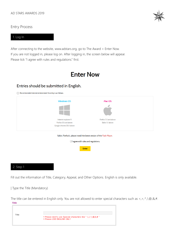

Entry Process

#### 1. Log In

After connecting to the website, [www.adstars.org,](http://www.adstars.org/) go to The Award > Enter Now. If you are not logged in, please log on. After logging in, the screen below will appear. Please tick "I agree with rules and regulations." first.

# **Enter Now**

# Entries should be submitted in English.

(1) Recommended internet environment for entry is as follows



#### 2. Step 1

Fill out the information of Title, Category, Appeal, and Other Options. English is only available.

| Type the Title (Mandatory)

The title can be entered in English only. You are not allowed to enter special characters such as <,>,^,!,@,&,#. Title

| Title |                                                                                                                                                                 |
|-------|-----------------------------------------------------------------------------------------------------------------------------------------------------------------|
|       | * Please dont's use Special characters like " $\langle , \rangle, \hat{}',  , \textcircled{0}, \textcircled{k}, \textcircled{k}$ "<br>* Please USE ENGLISH ONLY |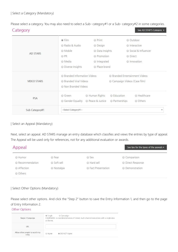Please select a category. You may also need to select a Sub- category#1 or a Sub- category#2 in some categories.

| Category           |                                                   |                 |                                     | See AD STAR'S Category ▶ |                         |
|--------------------|---------------------------------------------------|-----------------|-------------------------------------|--------------------------|-------------------------|
|                    | $\odot$ Film                                      | ● Print         |                                     | © Outdoor                |                         |
|                    | Radio & Audio                                     | © Design        |                                     | lnteractive              |                         |
|                    | © Mobile                                          | C Data Insights |                                     | Social & Influencer      |                         |
| AD STARS           | ◎ PR                                              | ● Promotion     |                                     | © Direct                 |                         |
|                    | ● Media                                           | lntegrated      |                                     | lnnovation               |                         |
|                    | <b>Diverse Insights</b>                           | Race brand      |                                     |                          |                         |
|                    | <b>Branded Information Videos</b>                 |                 | <b>Branded Entertainment Videos</b> |                          |                         |
| <b>VIDEO STARS</b> | <b>Branded Viral Videos</b><br>Non Branded Videos |                 | Campaign Videos (Case film)         |                          |                         |
| PSA                | ◎ Green                                           | ● Human Rights  | ● Education                         | ● Healthcare             |                         |
|                    | Gender Equality                                   | Reace & Justice | Rartnerships                        | © Others                 |                         |
| Sub Category#1     | --Select Category#1-                              |                 |                                     |                          | $\overline{\mathbf{v}}$ |

#### | Select an Appeal (Mandatory)

Next, select an appeal. AD STARS manage an entry database which classifies and views the entries by type of appeal. The Appeal will be used only for references, not for any additional evaluation or awards.

| Appeal         |             |                          | See tips for the types of the appeals $\blacktriangleright$ |
|----------------|-------------|--------------------------|-------------------------------------------------------------|
| O Humor        | ◎ Fear      | ◎ Sex                    | Comparison                                                  |
| Recommendation | Soft sell   | Hard sell                | <b>O</b> Direct Response                                    |
| Affection      | ● Nostalgia | <b>Eact Presentation</b> | © Demonstration                                             |
| © Others       |             |                          |                                                             |

| Select Other Options (Mandatory)

Please select other options. And click the "Step 2" button to save the Entry Information 1, and then go to the page of Entry Information 2.

Other Options

| Single / Campaign                       | Campaign<br>$\odot$ Single<br>CAMPAIGN: A coordinated series of linked, multi-channel executions with a single idea<br>or theme. |
|-----------------------------------------|----------------------------------------------------------------------------------------------------------------------------------|
| URL                                     |                                                                                                                                  |
| Allow other people to watch my<br>entry | O DO NOT Agree<br>Agree                                                                                                          |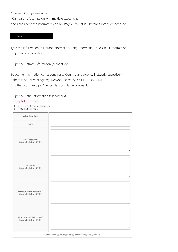- \* Single : A single execution
- Campaign : A campaign with multiple executions
- \* You can revise the information on My Page> My Entries, before submission deadline.

# 2. Step 2

Type the information of Entrant Information, Entry Information, and Credit Information. English is only available.

| Type the Entrant Information (Mandatory)

Select the information corresponding to Country and Agency Network respectively. If there is no relevant Agency Network, select "All OTHER COMPANIES". And then you can type Agency Network Name you want.

#### | Type the Entry Information (Mandatory)

## **Entry Information**

- \* Please fill out the following blanks if any
- \* Please USE ENGLISH ONLY

| Advertiser/Client                                            |                                                           |
|--------------------------------------------------------------|-----------------------------------------------------------|
| Brand                                                        |                                                           |
| Describe Mission<br>(max, 700 bytes) (0/700)                 |                                                           |
| Describe Idea<br>(max, 700 bytes) (0/700)                    |                                                           |
| Describe results & achievement<br>(max, 700 bytes) (0/700)   |                                                           |
| <b>OPTIONAL Additional Point</b><br>(max, 700 bytes) (0/700) |                                                           |
|                                                              | Strong Point @ Visual @ Copy @ Jingle/BGM @ Plan @ Others |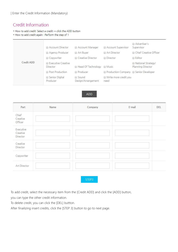# Credit Information

\* How to add credit: Select a credit -> click the ADD button

\* How to add credit again : Perform the step of 1

|            | Account Director                      | Account Manager             | Account Supervisor                    | Advertiser's<br>Supervisor              |
|------------|---------------------------------------|-----------------------------|---------------------------------------|-----------------------------------------|
|            | Agency Producer                       | Art Buyer                   | Art Director                          | <b>E</b> Chief Creative Officer         |
|            | Copywriter                            | Creative Director           | <b>Director</b>                       | <b>Editor</b>                           |
| Credit ADD | <b>Executive Creative</b><br>Director | Head Of Technology          | <b>I</b> Music                        | National Strategy/<br>Planning Director |
|            | <b>Post Production</b>                | <b>Producer</b>             | Production Company @ Senior Developer |                                         |
|            | Senior Digital<br>Producer            | Sound<br>Design/Arrangement | Write more credit you<br>need         |                                         |

#### ADD

| Part                              | Name | Company | E-mail | DEL |
|-----------------------------------|------|---------|--------|-----|
| Chief<br>Creative<br>Officer      |      |         |        |     |
| Executive<br>Creative<br>Director |      |         |        |     |
| Creative<br>Director              |      |         |        |     |
| Copywriter                        |      |         |        |     |
| Art Director                      |      |         |        |     |

STEP3

To add credit, select the necessary item from the [Credit ADD] and click the [ADD] button,

you can type the other credit information.

To delete credit, you can click the [DEL] buttton.

After finailizing insert credits, click the [STEP 3] button to go to next page.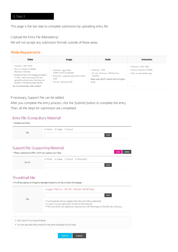#### 3. Step 3

This page is the last step to complete submission by uploading entry file.

| Upload the Entry File (Mandatory)

We will not accept any submssion formats outside of these areas.

#### **Media Requirements**

| <b>Video</b>                                                                                                                                                                                                                                                                             | <b>Image</b>                                                                                                                           | Radio                                                                                                                     | <b>Interactive</b>                                                             |
|------------------------------------------------------------------------------------------------------------------------------------------------------------------------------------------------------------------------------------------------------------------------------------------|----------------------------------------------------------------------------------------------------------------------------------------|---------------------------------------------------------------------------------------------------------------------------|--------------------------------------------------------------------------------|
| Extension: MP4. MOV<br>File size: Maximum 350MB.<br>Maximum 3 minutes<br>• exception) When Film category exceeds 3<br>minutes : Submit the original file and<br>upload the edited version that does not<br>exceeds 3 minutes as supporting file.<br>Do not include bars, slate or Black. | Extension : .   pg in RGB<br>(CMYK is NOT Acceptable)<br>• Dimension : approximately 2400 X 1600<br>pixel<br>. File size : Maximum 3MB | Extension: MP3<br>. File size : Maximum 3 MB (by three<br>minutes)<br>Radio entry MUST submit with its English<br>script. | Extension: MP4. MOV<br>File size : Maximum 350MB<br>URL: (ei. www.adstars.org) |

If necessary, Support File can be added.

After you complete the entry process, click the [Submit] button to complete the entry. Then, all the steps for submission are completed.

#### Entry File (Compulsory Material)

| * Upload your entry |                         |      |
|---------------------|-------------------------|------|
|                     | ● Moive ● Image ● Sound |      |
| File                |                         | Find |

# Support File (Supporting Material)

| * Please upload extra files which can support your idea |                                    | <b>ADD</b><br>Delete |
|---------------------------------------------------------|------------------------------------|----------------------|
| File #1                                                 | ● Movie ● Image ● Sound ● Document | Find                 |

# **ThumbNail File**

\* It will be used as an image to represent the entry on the Ad Stars homepage.

| File | * Image (* File From : JPG, GIF * File Size : 160*80 Pixel)                                                                            |
|------|----------------------------------------------------------------------------------------------------------------------------------------|
|      | Find<br>* The thumbnail will be created when the entry file is registered.<br>* In case of sound registration should be done directly. |
|      | * If the thumbnail not registered, replacement with the image on the left side will occur.                                             |

- Click Submit if you have finished.
- You can also add other entries for the same campaign on My Page.

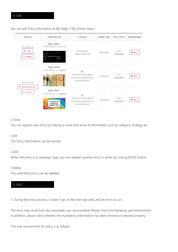You can edit Entry Information at My Page > My Entries menu.

| Division                                      | Title[Entry No]                                                                      | Category                                                                       | Media Type | <b>Entry Status</b>    | Management    |
|-----------------------------------------------|--------------------------------------------------------------------------------------|--------------------------------------------------------------------------------|------------|------------------------|---------------|
| Professional<br><b>n</b> Add<br>× Delete      | Entry Title<br>[P-PB-NA-00-C-102918]<br>Big data made Tokyo city non-size"<br>Eumina | Place brand<br>National Brands                                                 | Campaign   | 1 of 2<br>Complete     | <b>O</b> edit |
| Professional<br>□ Clone the entry<br>X Delete | Entry Title<br>[ P-PR-PP-CC-C-102898<br><b>TODAY'S</b><br>PENNICE /                  | PR<br>Practices & Specialism<br>Corporate reputation &<br>communication        | Campaign   | $1$ of $2$<br>Complete | <b>Q</b> edit |
|                                               | Entry Title<br>P-PR-PP-CC-C-102899<br>If I came out<br>would you<br>support me?      | <b>PR</b><br>Practices & Specialism<br>Corporate reputation &<br>communication | Campaign   | $2$ of $2$<br>Complete | <b>Q</b> edit |

## | Clone

You can register new entry by making a clone and revise its information such as category, strategy etc.

#### | Edit

The Entry Information can be revised.

#### | ADD

When the entry is a campaign type, you can register another entry in series by clicking [ADD] button.

| Delete

The submitted entry can be deleted.

# 5. FAQ

1. During the entry process, it doesn't go to the next step well, and an error occurs.

The error may result from the unsuitable user environment. Please check the following user environment. In addition, please check whether the mandatory information has been entered or selected properly.

The user environment for entry is as follows.